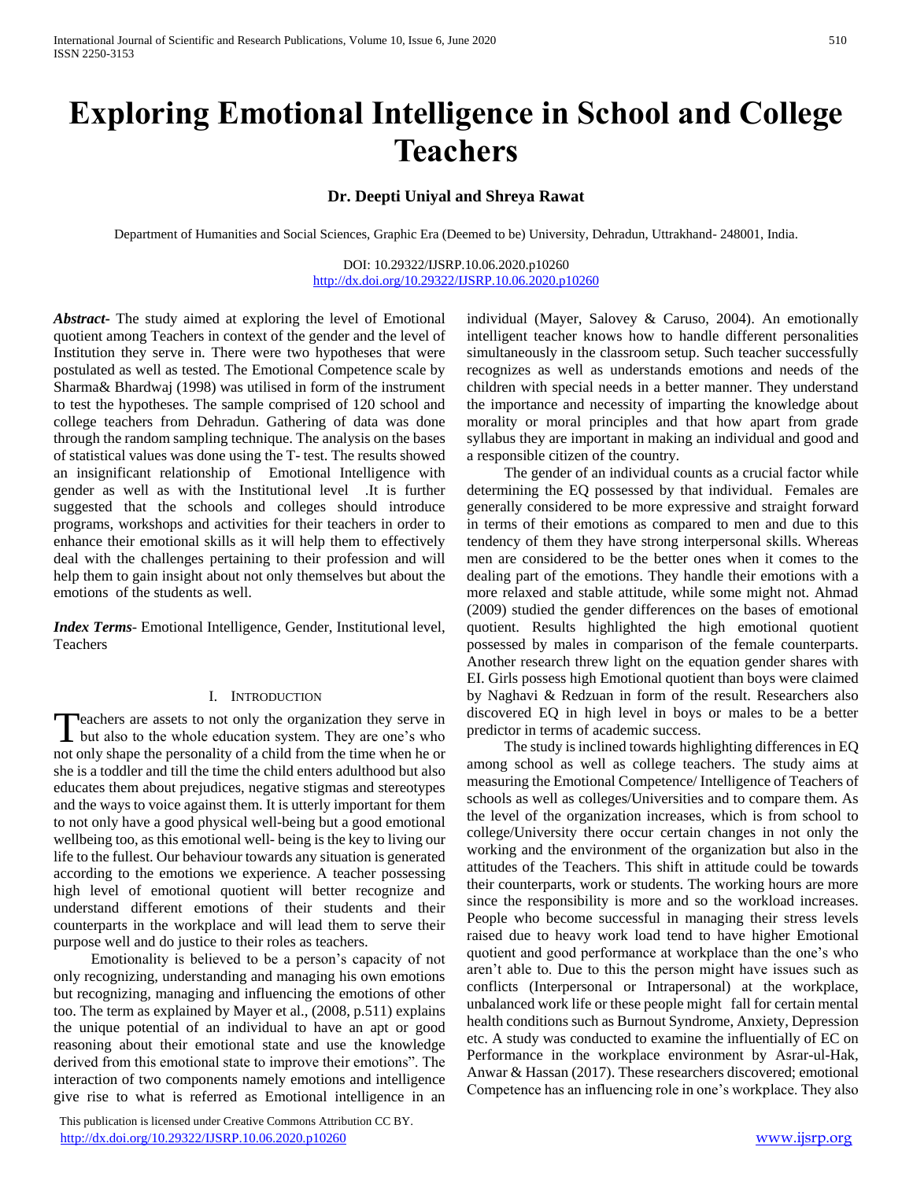# **Exploring Emotional Intelligence in School and College Teachers**

# **Dr. Deepti Uniyal and Shreya Rawat**

Department of Humanities and Social Sciences, Graphic Era (Deemed to be) University, Dehradun, Uttrakhand- 248001, India.

DOI: 10.29322/IJSRP.10.06.2020.p10260 <http://dx.doi.org/10.29322/IJSRP.10.06.2020.p10260>

*Abstract***-** The study aimed at exploring the level of Emotional quotient among Teachers in context of the gender and the level of Institution they serve in. There were two hypotheses that were postulated as well as tested. The Emotional Competence scale by Sharma& Bhardwaj (1998) was utilised in form of the instrument to test the hypotheses. The sample comprised of 120 school and college teachers from Dehradun. Gathering of data was done through the random sampling technique. The analysis on the bases of statistical values was done using the T- test. The results showed an insignificant relationship of Emotional Intelligence with gender as well as with the Institutional level .It is further suggested that the schools and colleges should introduce programs, workshops and activities for their teachers in order to enhance their emotional skills as it will help them to effectively deal with the challenges pertaining to their profession and will help them to gain insight about not only themselves but about the emotions of the students as well.

*Index Terms*- Emotional Intelligence, Gender, Institutional level, Teachers

#### I. INTRODUCTION

**Peachers are assets to not only the organization they serve in** Teachers are assets to not only the organization they serve in<br>but also to the whole education system. They are one's who not only shape the personality of a child from the time when he or she is a toddler and till the time the child enters adulthood but also educates them about prejudices, negative stigmas and stereotypes and the ways to voice against them. It is utterly important for them to not only have a good physical well-being but a good emotional wellbeing too, as this emotional well- being is the key to living our life to the fullest. Our behaviour towards any situation is generated according to the emotions we experience. A teacher possessing high level of emotional quotient will better recognize and understand different emotions of their students and their counterparts in the workplace and will lead them to serve their purpose well and do justice to their roles as teachers.

 Emotionality is believed to be a person's capacity of not only recognizing, understanding and managing his own emotions but recognizing, managing and influencing the emotions of other too. The term as explained by Mayer et al., (2008, p.511) explains the unique potential of an individual to have an apt or good reasoning about their emotional state and use the knowledge derived from this emotional state to improve their emotions". The interaction of two components namely emotions and intelligence give rise to what is referred as Emotional intelligence in an

 This publication is licensed under Creative Commons Attribution CC BY. <http://dx.doi.org/10.29322/IJSRP.10.06.2020.p10260> [www.ijsrp.org](http://ijsrp.org/)

individual (Mayer, Salovey & Caruso, 2004). An emotionally intelligent teacher knows how to handle different personalities simultaneously in the classroom setup. Such teacher successfully recognizes as well as understands emotions and needs of the children with special needs in a better manner. They understand the importance and necessity of imparting the knowledge about morality or moral principles and that how apart from grade syllabus they are important in making an individual and good and a responsible citizen of the country.

 The gender of an individual counts as a crucial factor while determining the EQ possessed by that individual. Females are generally considered to be more expressive and straight forward in terms of their emotions as compared to men and due to this tendency of them they have strong interpersonal skills. Whereas men are considered to be the better ones when it comes to the dealing part of the emotions. They handle their emotions with a more relaxed and stable attitude, while some might not. Ahmad (2009) studied the gender differences on the bases of emotional quotient. Results highlighted the high emotional quotient possessed by males in comparison of the female counterparts. Another research threw light on the equation gender shares with EI. Girls possess high Emotional quotient than boys were claimed by Naghavi & Redzuan in form of the result. Researchers also discovered EQ in high level in boys or males to be a better predictor in terms of academic success.

 The study is inclined towards highlighting differences in EQ among school as well as college teachers. The study aims at measuring the Emotional Competence/ Intelligence of Teachers of schools as well as colleges/Universities and to compare them. As the level of the organization increases, which is from school to college/University there occur certain changes in not only the working and the environment of the organization but also in the attitudes of the Teachers. This shift in attitude could be towards their counterparts, work or students. The working hours are more since the responsibility is more and so the workload increases. People who become successful in managing their stress levels raised due to heavy work load tend to have higher Emotional quotient and good performance at workplace than the one's who aren't able to. Due to this the person might have issues such as conflicts (Interpersonal or Intrapersonal) at the workplace, unbalanced work life or these people might fall for certain mental health conditions such as Burnout Syndrome, Anxiety, Depression etc. A study was conducted to examine the influentially of EC on Performance in the workplace environment by Asrar-ul-Hak, Anwar & Hassan (2017). These researchers discovered; emotional Competence has an influencing role in one's workplace. They also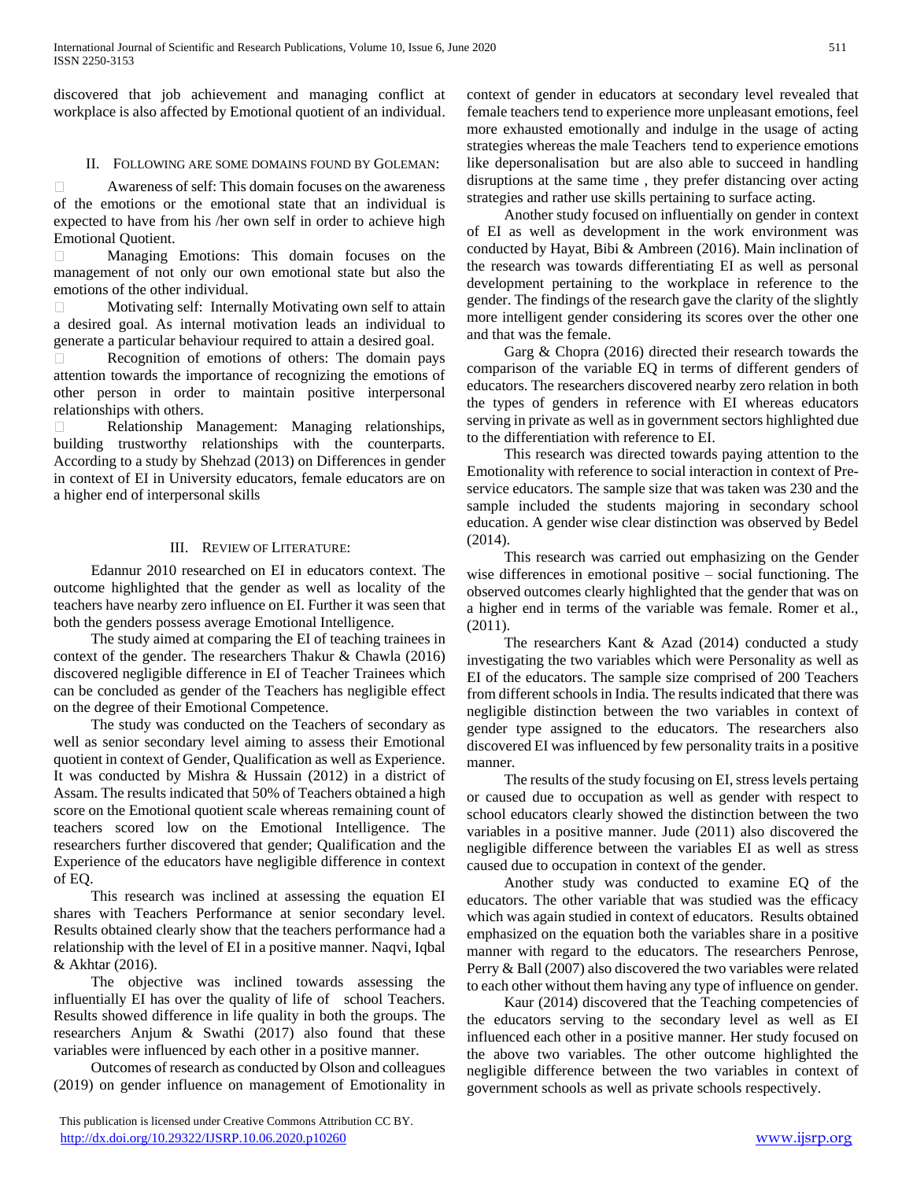discovered that job achievement and managing conflict at workplace is also affected by Emotional quotient of an individual.

## II. FOLLOWING ARE SOME DOMAINS FOUND BY GOLEMAN:

 $\Box$ Awareness of self: This domain focuses on the awareness of the emotions or the emotional state that an individual is expected to have from his /her own self in order to achieve high Emotional Quotient.

Managing Emotions: This domain focuses on the management of not only our own emotional state but also the emotions of the other individual.

Motivating self: Internally Motivating own self to attain a desired goal. As internal motivation leads an individual to generate a particular behaviour required to attain a desired goal.

Recognition of emotions of others: The domain pays attention towards the importance of recognizing the emotions of other person in order to maintain positive interpersonal relationships with others.

Relationship Management: Managing relationships, building trustworthy relationships with the counterparts. According to a study by Shehzad (2013) on Differences in gender in context of EI in University educators, female educators are on a higher end of interpersonal skills

#### III. REVIEW OF LITERATURE:

 Edannur 2010 researched on EI in educators context. The outcome highlighted that the gender as well as locality of the teachers have nearby zero influence on EI. Further it was seen that both the genders possess average Emotional Intelligence.

 The study aimed at comparing the EI of teaching trainees in context of the gender. The researchers Thakur & Chawla (2016) discovered negligible difference in EI of Teacher Trainees which can be concluded as gender of the Teachers has negligible effect on the degree of their Emotional Competence.

 The study was conducted on the Teachers of secondary as well as senior secondary level aiming to assess their Emotional quotient in context of Gender, Qualification as well as Experience. It was conducted by Mishra & Hussain (2012) in a district of Assam. The results indicated that 50% of Teachers obtained a high score on the Emotional quotient scale whereas remaining count of teachers scored low on the Emotional Intelligence. The researchers further discovered that gender; Qualification and the Experience of the educators have negligible difference in context of EQ.

 This research was inclined at assessing the equation EI shares with Teachers Performance at senior secondary level. Results obtained clearly show that the teachers performance had a relationship with the level of EI in a positive manner. Naqvi, Iqbal & Akhtar (2016).

 The objective was inclined towards assessing the influentially EI has over the quality of life of school Teachers. Results showed difference in life quality in both the groups. The researchers Anjum & Swathi (2017) also found that these variables were influenced by each other in a positive manner.

 Outcomes of research as conducted by Olson and colleagues (2019) on gender influence on management of Emotionality in

 This publication is licensed under Creative Commons Attribution CC BY. <http://dx.doi.org/10.29322/IJSRP.10.06.2020.p10260> [www.ijsrp.org](http://ijsrp.org/)

context of gender in educators at secondary level revealed that female teachers tend to experience more unpleasant emotions, feel more exhausted emotionally and indulge in the usage of acting strategies whereas the male Teachers tend to experience emotions like depersonalisation but are also able to succeed in handling disruptions at the same time , they prefer distancing over acting strategies and rather use skills pertaining to surface acting.

 Another study focused on influentially on gender in context of EI as well as development in the work environment was conducted by Hayat, Bibi & Ambreen (2016). Main inclination of the research was towards differentiating EI as well as personal development pertaining to the workplace in reference to the gender. The findings of the research gave the clarity of the slightly more intelligent gender considering its scores over the other one and that was the female.

 Garg & Chopra (2016) directed their research towards the comparison of the variable EQ in terms of different genders of educators. The researchers discovered nearby zero relation in both the types of genders in reference with EI whereas educators serving in private as well as in government sectors highlighted due to the differentiation with reference to EI.

 This research was directed towards paying attention to the Emotionality with reference to social interaction in context of Preservice educators. The sample size that was taken was 230 and the sample included the students majoring in secondary school education. A gender wise clear distinction was observed by Bedel (2014).

 This research was carried out emphasizing on the Gender wise differences in emotional positive – social functioning. The observed outcomes clearly highlighted that the gender that was on a higher end in terms of the variable was female. Romer et al., (2011).

 The researchers Kant & Azad (2014) conducted a study investigating the two variables which were Personality as well as EI of the educators. The sample size comprised of 200 Teachers from different schools in India. The results indicated that there was negligible distinction between the two variables in context of gender type assigned to the educators. The researchers also discovered EI was influenced by few personality traits in a positive manner.

 The results of the study focusing on EI, stress levels pertaing or caused due to occupation as well as gender with respect to school educators clearly showed the distinction between the two variables in a positive manner. Jude (2011) also discovered the negligible difference between the variables EI as well as stress caused due to occupation in context of the gender.

 Another study was conducted to examine EQ of the educators. The other variable that was studied was the efficacy which was again studied in context of educators. Results obtained emphasized on the equation both the variables share in a positive manner with regard to the educators. The researchers Penrose, Perry & Ball (2007) also discovered the two variables were related to each other without them having any type of influence on gender.

 Kaur (2014) discovered that the Teaching competencies of the educators serving to the secondary level as well as EI influenced each other in a positive manner. Her study focused on the above two variables. The other outcome highlighted the negligible difference between the two variables in context of government schools as well as private schools respectively.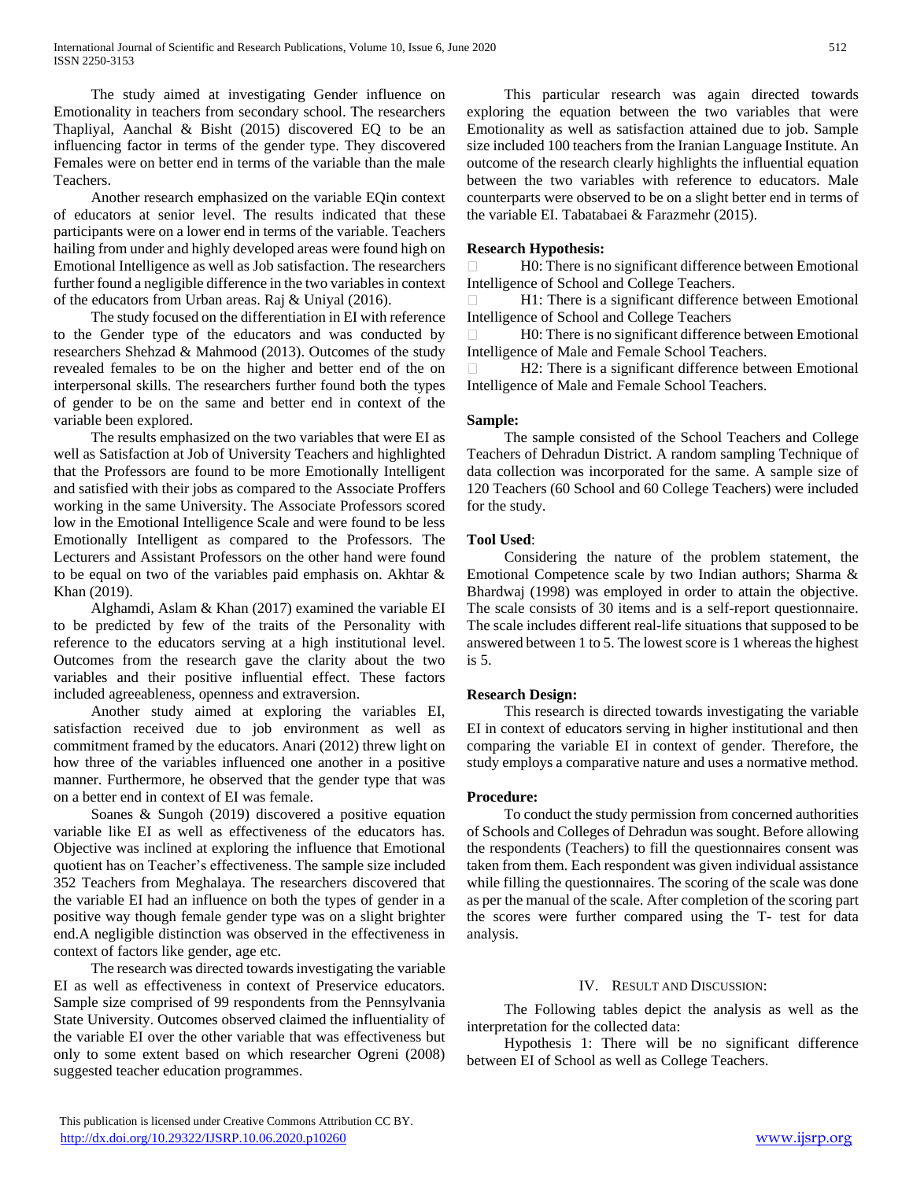The study aimed at investigating Gender influence on Emotionality in teachers from secondary school. The researchers Thapliyal, Aanchal & Bisht (2015) discovered EQ to be an influencing factor in terms of the gender type. They discovered Females were on better end in terms of the variable than the male Teachers.

 Another research emphasized on the variable EQin context of educators at senior level. The results indicated that these participants were on a lower end in terms of the variable. Teachers hailing from under and highly developed areas were found high on Emotional Intelligence as well as Job satisfaction. The researchers further found a negligible difference in the two variables in context of the educators from Urban areas. Raj & Uniyal (2016).

 The study focused on the differentiation in EI with reference to the Gender type of the educators and was conducted by researchers Shehzad & Mahmood (2013). Outcomes of the study revealed females to be on the higher and better end of the on interpersonal skills. The researchers further found both the types of gender to be on the same and better end in context of the variable been explored.

 The results emphasized on the two variables that were EI as well as Satisfaction at Job of University Teachers and highlighted that the Professors are found to be more Emotionally Intelligent and satisfied with their jobs as compared to the Associate Proffers working in the same University. The Associate Professors scored low in the Emotional Intelligence Scale and were found to be less Emotionally Intelligent as compared to the Professors. The Lecturers and Assistant Professors on the other hand were found to be equal on two of the variables paid emphasis on. Akhtar & Khan (2019).

 Alghamdi, Aslam & Khan (2017) examined the variable EI to be predicted by few of the traits of the Personality with reference to the educators serving at a high institutional level. Outcomes from the research gave the clarity about the two variables and their positive influential effect. These factors included agreeableness, openness and extraversion.

 Another study aimed at exploring the variables EI, satisfaction received due to job environment as well as commitment framed by the educators. Anari (2012) threw light on how three of the variables influenced one another in a positive manner. Furthermore, he observed that the gender type that was on a better end in context of EI was female.

 Soanes & Sungoh (2019) discovered a positive equation variable like EI as well as effectiveness of the educators has. Objective was inclined at exploring the influence that Emotional quotient has on Teacher's effectiveness. The sample size included 352 Teachers from Meghalaya. The researchers discovered that the variable EI had an influence on both the types of gender in a positive way though female gender type was on a slight brighter end.A negligible distinction was observed in the effectiveness in context of factors like gender, age etc.

 The research was directed towards investigating the variable EI as well as effectiveness in context of Preservice educators. Sample size comprised of 99 respondents from the Pennsylvania State University. Outcomes observed claimed the influentiality of the variable EI over the other variable that was effectiveness but only to some extent based on which researcher Ogreni (2008) suggested teacher education programmes.

 This particular research was again directed towards exploring the equation between the two variables that were Emotionality as well as satisfaction attained due to job. Sample size included 100 teachers from the Iranian Language Institute. An outcome of the research clearly highlights the influential equation between the two variables with reference to educators. Male counterparts were observed to be on a slight better end in terms of the variable EI. Tabatabaei & Farazmehr (2015).

# **Research Hypothesis:**

H0: There is no significant difference between Emotional Intelligence of School and College Teachers.

H1: There is a significant difference between Emotional Intelligence of School and College Teachers

H0: There is no significant difference between Emotional Intelligence of Male and Female School Teachers.

H2: There is a significant difference between Emotional  $\Box$ Intelligence of Male and Female School Teachers.

## **Sample:**

 The sample consisted of the School Teachers and College Teachers of Dehradun District. A random sampling Technique of data collection was incorporated for the same. A sample size of 120 Teachers (60 School and 60 College Teachers) were included for the study.

## **Tool Used**:

 Considering the nature of the problem statement, the Emotional Competence scale by two Indian authors; Sharma & Bhardwaj (1998) was employed in order to attain the objective. The scale consists of 30 items and is a self-report questionnaire. The scale includes different real-life situations that supposed to be answered between 1 to 5. The lowest score is 1 whereas the highest is 5.

## **Research Design:**

 This research is directed towards investigating the variable EI in context of educators serving in higher institutional and then comparing the variable EI in context of gender. Therefore, the study employs a comparative nature and uses a normative method.

## **Procedure:**

 To conduct the study permission from concerned authorities of Schools and Colleges of Dehradun was sought. Before allowing the respondents (Teachers) to fill the questionnaires consent was taken from them. Each respondent was given individual assistance while filling the questionnaires. The scoring of the scale was done as per the manual of the scale. After completion of the scoring part the scores were further compared using the T- test for data analysis.

## IV. RESULT AND DISCUSSION:

 The Following tables depict the analysis as well as the interpretation for the collected data:

 Hypothesis 1: There will be no significant difference between EI of School as well as College Teachers.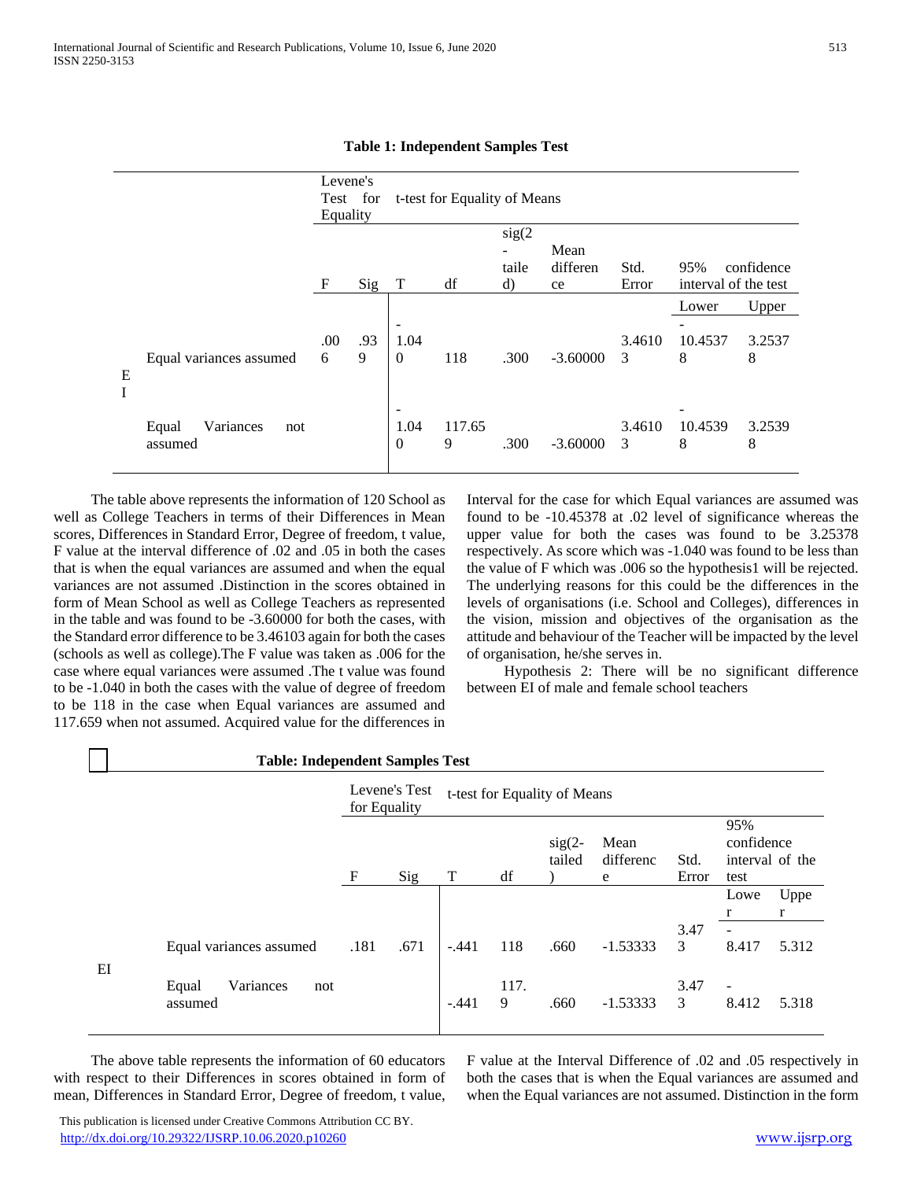|        |                                      | Levene's<br>Equality | Test for |                                                  | t-test for Equality of Means |                                                   |                        |               |                             |                      |
|--------|--------------------------------------|----------------------|----------|--------------------------------------------------|------------------------------|---------------------------------------------------|------------------------|---------------|-----------------------------|----------------------|
|        |                                      | $\mathbf F$          | Sig      | T                                                | df                           | sig(2)<br>$\overline{\phantom{m}}$<br>taile<br>d) | Mean<br>differen<br>ce | Std.<br>Error | 95%<br>interval of the test | confidence           |
| Ε<br>I | Equal variances assumed              | .00<br>6             | .93<br>9 | $\overline{\phantom{a}}$<br>1.04<br>$\mathbf{0}$ | 118                          | .300                                              | $-3.60000$             | 3.4610<br>3   | Lower<br>10.4537<br>8       | Upper<br>3.2537<br>8 |
|        | Variances<br>Equal<br>not<br>assumed |                      |          | $\overline{\phantom{a}}$<br>1.04<br>$\mathbf{0}$ | 117.65<br>9                  | .300                                              | $-3.60000$             | 3.4610<br>3   | 10.4539<br>8                | 3.2539<br>8          |

**Table 1: Independent Samples Test**

 The table above represents the information of 120 School as well as College Teachers in terms of their Differences in Mean scores, Differences in Standard Error, Degree of freedom, t value, F value at the interval difference of .02 and .05 in both the cases that is when the equal variances are assumed and when the equal variances are not assumed .Distinction in the scores obtained in form of Mean School as well as College Teachers as represented in the table and was found to be -3.60000 for both the cases, with the Standard error difference to be 3.46103 again for both the cases (schools as well as college).The F value was taken as .006 for the case where equal variances were assumed .The t value was found to be -1.040 in both the cases with the value of degree of freedom to be 118 in the case when Equal variances are assumed and 117.659 when not assumed. Acquired value for the differences in

Interval for the case for which Equal variances are assumed was found to be -10.45378 at .02 level of significance whereas the upper value for both the cases was found to be 3.25378 respectively. As score which was -1.040 was found to be less than the value of F which was .006 so the hypothesis1 will be rejected. The underlying reasons for this could be the differences in the levels of organisations (i.e. School and Colleges), differences in the vision, mission and objectives of the organisation as the attitude and behaviour of the Teacher will be impacted by the level of organisation, he/she serves in.

 Hypothesis 2: There will be no significant difference between EI of male and female school teachers

|       | <b>Table: Independent Samples Test</b> |                                  |               |                              |           |                    |                        |               |                                              |           |
|-------|----------------------------------------|----------------------------------|---------------|------------------------------|-----------|--------------------|------------------------|---------------|----------------------------------------------|-----------|
|       |                                        | for Equality                     | Levene's Test | t-test for Equality of Means |           |                    |                        |               |                                              |           |
|       |                                        | $\boldsymbol{\mathrm{F}}$<br>Sig |               | T                            | df        | $sig(2-$<br>tailed | Mean<br>differenc<br>e | Std.<br>Error | 95%<br>confidence<br>interval of the<br>test |           |
|       |                                        |                                  |               |                              |           |                    |                        |               | Lowe<br>r                                    | Uppe<br>r |
| $E$ I | Equal variances assumed                | .181                             | .671          | $-.441$                      | 118       | .660               | $-1.53333$             | 3.47<br>3     | 8.417                                        | 5.312     |
|       | Variances<br>Equal<br>not<br>assumed   |                                  |               | $-.441$                      | 117.<br>9 | .660               | $-1.53333$             | 3.47<br>3     | 8.412                                        | 5.318     |

 The above table represents the information of 60 educators with respect to their Differences in scores obtained in form of mean, Differences in Standard Error, Degree of freedom, t value,

F value at the Interval Difference of .02 and .05 respectively in both the cases that is when the Equal variances are assumed and when the Equal variances are not assumed. Distinction in the form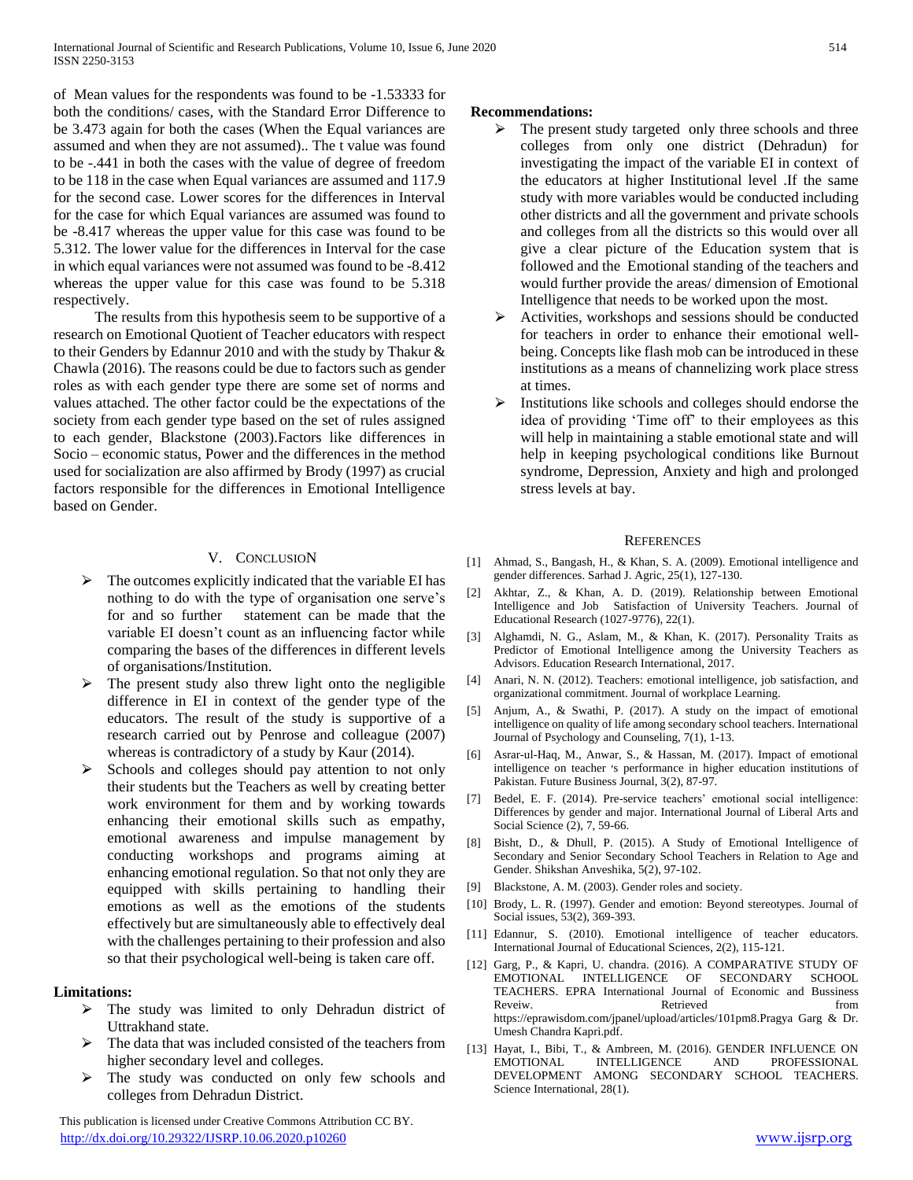of Mean values for the respondents was found to be -1.53333 for both the conditions/ cases, with the Standard Error Difference to be 3.473 again for both the cases (When the Equal variances are assumed and when they are not assumed).. The t value was found to be -.441 in both the cases with the value of degree of freedom to be 118 in the case when Equal variances are assumed and 117.9 for the second case. Lower scores for the differences in Interval for the case for which Equal variances are assumed was found to be -8.417 whereas the upper value for this case was found to be 5.312. The lower value for the differences in Interval for the case in which equal variances were not assumed was found to be -8.412 whereas the upper value for this case was found to be 5.318 respectively.

 The results from this hypothesis seem to be supportive of a research on Emotional Quotient of Teacher educators with respect to their Genders by Edannur 2010 and with the study by Thakur & Chawla (2016). The reasons could be due to factors such as gender roles as with each gender type there are some set of norms and values attached. The other factor could be the expectations of the society from each gender type based on the set of rules assigned to each gender, Blackstone (2003).Factors like differences in Socio – economic status, Power and the differences in the method used for socialization are also affirmed by Brody (1997) as crucial factors responsible for the differences in Emotional Intelligence based on Gender.

#### V. CONCLUSION

- $\triangleright$  The outcomes explicitly indicated that the variable EI has nothing to do with the type of organisation one serve's for and so further statement can be made that the variable EI doesn't count as an influencing factor while comparing the bases of the differences in different levels of organisations/Institution.
- The present study also threw light onto the negligible difference in EI in context of the gender type of the educators. The result of the study is supportive of a research carried out by Penrose and colleague (2007) whereas is contradictory of a study by Kaur (2014).
- ⮚ Schools and colleges should pay attention to not only their students but the Teachers as well by creating better work environment for them and by working towards enhancing their emotional skills such as empathy, emotional awareness and impulse management by conducting workshops and programs aiming at enhancing emotional regulation. So that not only they are equipped with skills pertaining to handling their emotions as well as the emotions of the students effectively but are simultaneously able to effectively deal with the challenges pertaining to their profession and also so that their psychological well-being is taken care off.

## **Limitations:**

- $\triangleright$  The study was limited to only Dehradun district of Uttrakhand state.
- ⮚ The data that was included consisted of the teachers from higher secondary level and colleges.
- The study was conducted on only few schools and colleges from Dehradun District.

 This publication is licensed under Creative Commons Attribution CC BY. <http://dx.doi.org/10.29322/IJSRP.10.06.2020.p10260> [www.ijsrp.org](http://ijsrp.org/)

#### **Recommendations:**

- $\triangleright$  The present study targeted only three schools and three colleges from only one district (Dehradun) for investigating the impact of the variable EI in context of the educators at higher Institutional level .If the same study with more variables would be conducted including other districts and all the government and private schools and colleges from all the districts so this would over all give a clear picture of the Education system that is followed and the Emotional standing of the teachers and would further provide the areas/ dimension of Emotional Intelligence that needs to be worked upon the most.
- ⮚ Activities, workshops and sessions should be conducted for teachers in order to enhance their emotional wellbeing. Concepts like flash mob can be introduced in these institutions as a means of channelizing work place stress at times.
- $\triangleright$  Institutions like schools and colleges should endorse the idea of providing 'Time off' to their employees as this will help in maintaining a stable emotional state and will help in keeping psychological conditions like Burnout syndrome, Depression, Anxiety and high and prolonged stress levels at bay.

#### **REFERENCES**

- [1] Ahmad, S., Bangash, H., & Khan, S. A. (2009). Emotional intelligence and gender differences. Sarhad J. Agric, 25(1), 127-130.
- [2] Akhtar, Z., & Khan, A. D. (2019). Relationship between Emotional Intelligence and Job Satisfaction of University Teachers. Journal of Educational Research (1027-9776), 22(1).
- [3] Alghamdi, N. G., Aslam, M., & Khan, K. (2017). Personality Traits as Predictor of Emotional Intelligence among the University Teachers as Advisors. Education Research International, 2017.
- [4] Anari, N. N. (2012). Teachers: emotional intelligence, job satisfaction, and organizational commitment. Journal of workplace Learning.
- [5] Anjum, A., & Swathi, P. (2017). A study on the impact of emotional intelligence on quality of life among secondary school teachers. International Journal of Psychology and Counseling, 7(1), 1-13.
- [6] Asrar-ul-Haq, M., Anwar, S., & Hassan, M. (2017). Impact of emotional intelligence on teacher ׳s performance in higher education institutions of Pakistan. Future Business Journal, 3(2), 87-97.
- [7] Bedel, E. F. (2014). Pre-service teachers' emotional social intelligence: Differences by gender and major. International Journal of Liberal Arts and Social Science (2), 7, 59-66.
- [8] Bisht, D., & Dhull, P. (2015). A Study of Emotional Intelligence of Secondary and Senior Secondary School Teachers in Relation to Age and Gender. Shikshan Anveshika, 5(2), 97-102.
- [9] Blackstone, A. M. (2003). Gender roles and society.
- [10] Brody, L. R. (1997). Gender and emotion: Beyond stereotypes. Journal of Social issues, 53(2), 369-393.
- [11] Edannur, S. (2010). Emotional intelligence of teacher educators. International Journal of Educational Sciences, 2(2), 115-121.
- [12] Garg, P., & Kapri, U. chandra. (2016). A COMPARATIVE STUDY OF EMOTIONAL INTELLIGENCE OF SECONDARY SCHOOL TEACHERS. EPRA International Journal of Economic and Bussiness Reveiw. Retrieved from **Retrieved** from **Retrieved** https://eprawisdom.com/jpanel/upload/articles/101pm8.Pragya Garg & Dr. Umesh Chandra Kapri.pdf.
- [13] Hayat, I., Bibi, T., & Ambreen, M. (2016). GENDER INFLUENCE ON INTELLIGENCE AND PROFESSIONAL DEVELOPMENT AMONG SECONDARY SCHOOL TEACHERS. Science International, 28(1).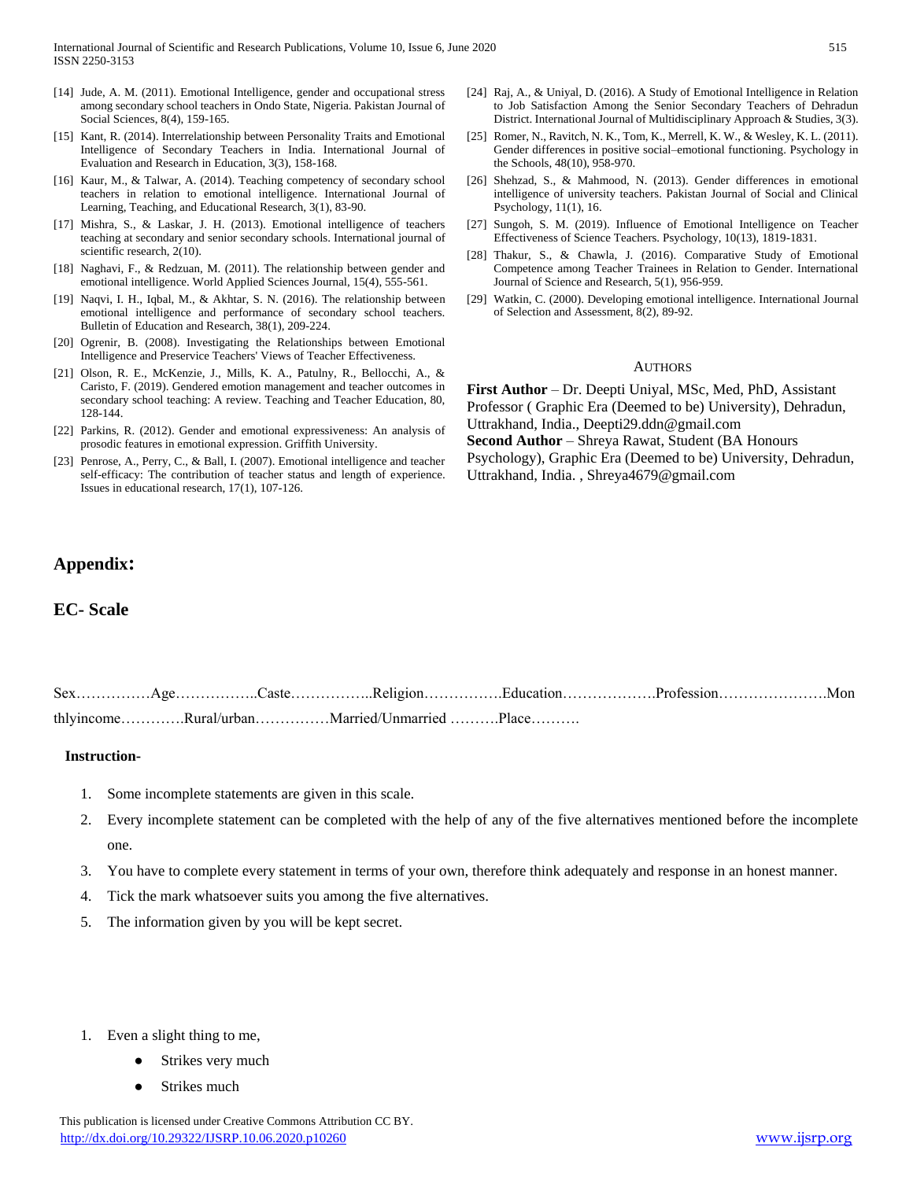- [14] Jude, A. M. (2011). Emotional Intelligence, gender and occupational stress among secondary school teachers in Ondo State, Nigeria. Pakistan Journal of Social Sciences, 8(4), 159-165.
- [15] Kant, R. (2014). Interrelationship between Personality Traits and Emotional Intelligence of Secondary Teachers in India. International Journal of Evaluation and Research in Education, 3(3), 158-168.
- [16] Kaur, M., & Talwar, A. (2014). Teaching competency of secondary school teachers in relation to emotional intelligence. International Journal of Learning, Teaching, and Educational Research, 3(1), 83-90.
- [17] Mishra, S., & Laskar, J. H. (2013). Emotional intelligence of teachers teaching at secondary and senior secondary schools. International journal of scientific research, 2(10).
- [18] Naghavi, F., & Redzuan, M. (2011). The relationship between gender and emotional intelligence. World Applied Sciences Journal, 15(4), 555-561.
- [19] Naqvi, I. H., Iqbal, M., & Akhtar, S. N. (2016). The relationship between emotional intelligence and performance of secondary school teachers. Bulletin of Education and Research, 38(1), 209-224.
- [20] Ogrenir, B. (2008). Investigating the Relationships between Emotional Intelligence and Preservice Teachers' Views of Teacher Effectiveness.
- [21] Olson, R. E., McKenzie, J., Mills, K. A., Patulny, R., Bellocchi, A., & Caristo, F. (2019). Gendered emotion management and teacher outcomes in secondary school teaching: A review. Teaching and Teacher Education, 80, 128-144.
- [22] Parkins, R. (2012). Gender and emotional expressiveness: An analysis of prosodic features in emotional expression. Griffith University.
- [23] Penrose, A., Perry, C., & Ball, I. (2007). Emotional intelligence and teacher self-efficacy: The contribution of teacher status and length of experience. Issues in educational research, 17(1), 107-126.
- [24] Raj, A., & Uniyal, D. (2016). A Study of Emotional Intelligence in Relation to Job Satisfaction Among the Senior Secondary Teachers of Dehradun District. International Journal of Multidisciplinary Approach & Studies, 3(3).
- [25] Romer, N., Ravitch, N. K., Tom, K., Merrell, K. W., & Wesley, K. L. (2011). Gender differences in positive social–emotional functioning. Psychology in the Schools, 48(10), 958-970.
- [26] Shehzad, S., & Mahmood, N. (2013). Gender differences in emotional intelligence of university teachers. Pakistan Journal of Social and Clinical Psychology, 11(1), 16.
- [27] Sungoh, S. M. (2019). Influence of Emotional Intelligence on Teacher Effectiveness of Science Teachers. Psychology, 10(13), 1819-1831.
- [28] Thakur, S., & Chawla, J. (2016). Comparative Study of Emotional Competence among Teacher Trainees in Relation to Gender. International Journal of Science and Research, 5(1), 956-959.
- [29] Watkin, C. (2000). Developing emotional intelligence. International Journal of Selection and Assessment, 8(2), 89-92.

#### **AUTHORS**

**First Author** – Dr. Deepti Uniyal, MSc, Med, PhD, Assistant Professor ( Graphic Era (Deemed to be) University), Dehradun, Uttrakhand, India., Deepti29.ddn@gmail.com **Second Author** – Shreya Rawat, Student (BA Honours Psychology), Graphic Era (Deemed to be) University, Dehradun, Uttrakhand, India. , Shreya4679@gmail.com

# **Appendix:**

# **EC- Scale**

|  |                                             | SexAgeCasteReligionEducationProfessionMon |  |
|--|---------------------------------------------|-------------------------------------------|--|
|  | thlyincomeRural/urbanMarried/UnmarriedPlace |                                           |  |

#### **Instruction-**

- 1. Some incomplete statements are given in this scale.
- 2. Every incomplete statement can be completed with the help of any of the five alternatives mentioned before the incomplete one.
- 3. You have to complete every statement in terms of your own, therefore think adequately and response in an honest manner.
- 4. Tick the mark whatsoever suits you among the five alternatives.
- 5. The information given by you will be kept secret.
- 1. Even a slight thing to me,
	- Strikes very much
	- Strikes much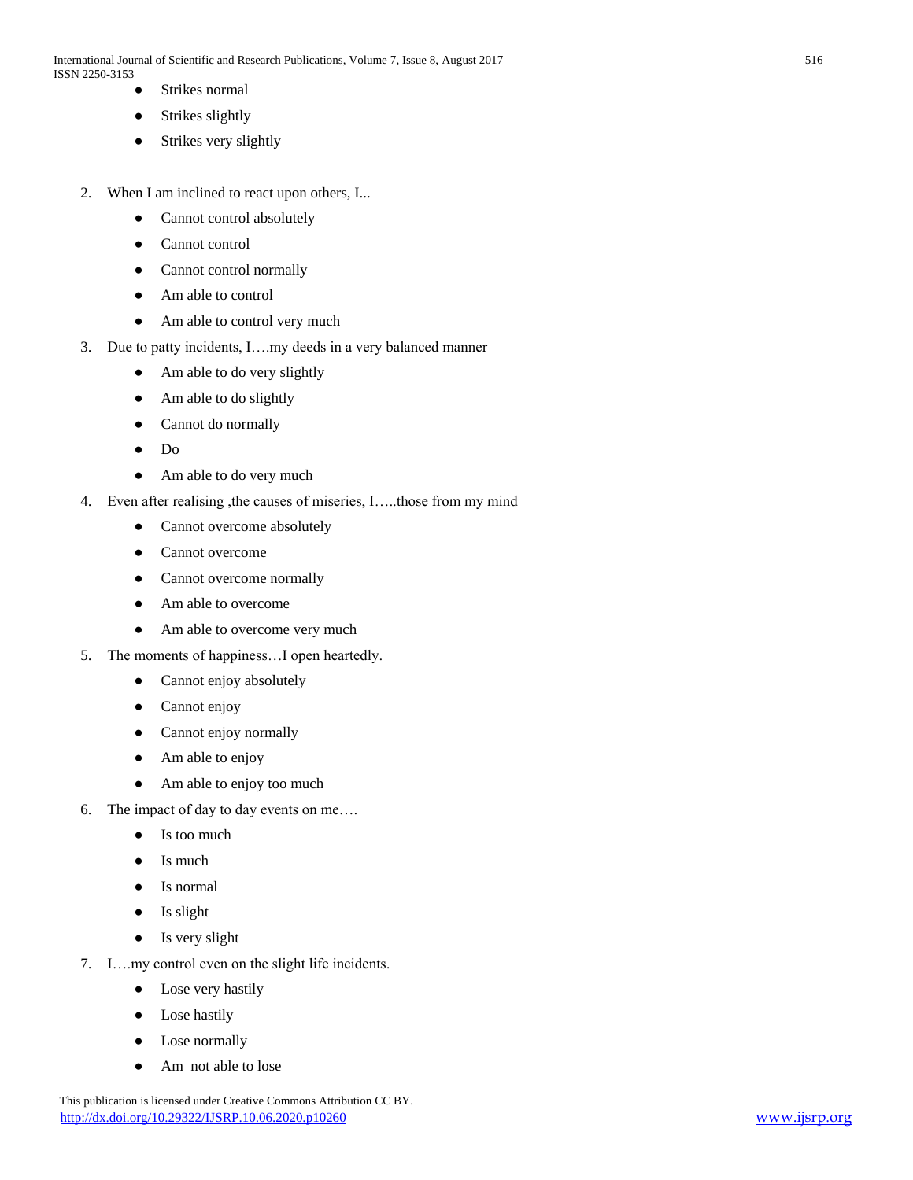- Strikes normal
- Strikes slightly
- Strikes very slightly
- 2. When I am inclined to react upon others, I...
	- Cannot control absolutely
	- Cannot control
	- Cannot control normally
	- Am able to control
	- Am able to control very much
- 3. Due to patty incidents, I….my deeds in a very balanced manner
	- Am able to do very slightly
	- Am able to do slightly
	- Cannot do normally
	- Do
	- Am able to do very much
- 4. Even after realising ,the causes of miseries, I…..those from my mind
	- Cannot overcome absolutely
	- Cannot overcome
	- Cannot overcome normally
	- Am able to overcome
	- Am able to overcome very much
- 5. The moments of happiness…I open heartedly.
	- Cannot enjoy absolutely
	- Cannot enjoy
	- Cannot enjoy normally
	- Am able to enjoy
	- Am able to enjoy too much
- 6. The impact of day to day events on me….
	- Is too much
	- Is much
	- Is normal
	- Is slight
	- Is very slight
- 7. I….my control even on the slight life incidents.
	- Lose very hastily
	- Lose hastily
	- Lose normally
	- Am not able to lose

 This publication is licensed under Creative Commons Attribution CC BY. <http://dx.doi.org/10.29322/IJSRP.10.06.2020.p10260> [www.ijsrp.org](http://ijsrp.org/)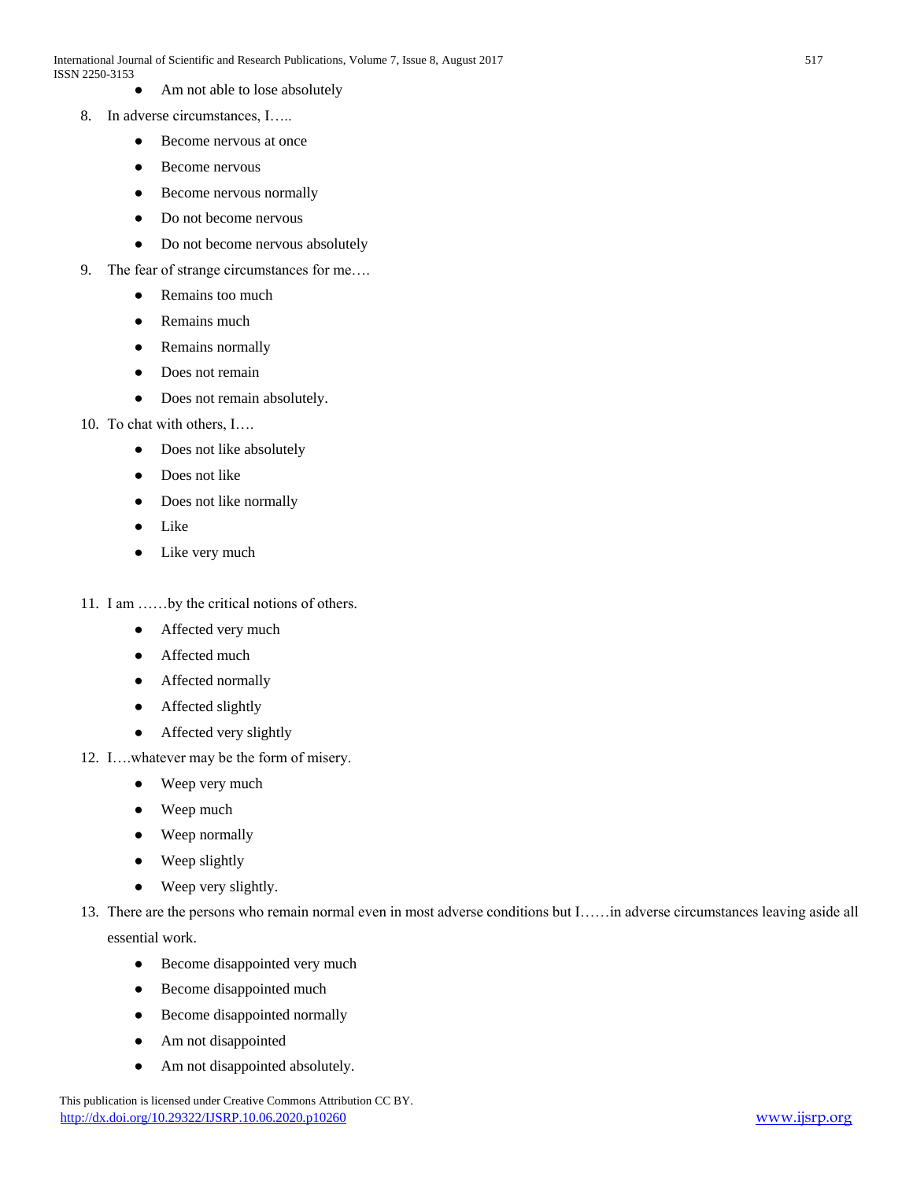- Am not able to lose absolutely
- 8. In adverse circumstances, I…..
	- Become nervous at once
	- Become nervous
	- Become nervous normally
	- Do not become nervous
	- Do not become nervous absolutely
- 9. The fear of strange circumstances for me….
	- Remains too much
	- Remains much
	- Remains normally
	- Does not remain
	- Does not remain absolutely.
- 10. To chat with others, I….
	- Does not like absolutely
	- Does not like
	- Does not like normally
	- Like
	- Like very much
- 11. I am ……by the critical notions of others.
	- Affected very much
	- Affected much
	- Affected normally
	- Affected slightly
	- Affected very slightly
- 12. I….whatever may be the form of misery.
	- Weep very much
	- Weep much
	- Weep normally
	- Weep slightly
	- Weep very slightly.
- 13. There are the persons who remain normal even in most adverse conditions but I……in adverse circumstances leaving aside all essential work.
	- Become disappointed very much
	- Become disappointed much
	- Become disappointed normally
	- Am not disappointed
	- Am not disappointed absolutely.

This publication is licensed under Creative Commons Attribution CC BY. <http://dx.doi.org/10.29322/IJSRP.10.06.2020.p10260> [www.ijsrp.org](http://ijsrp.org/)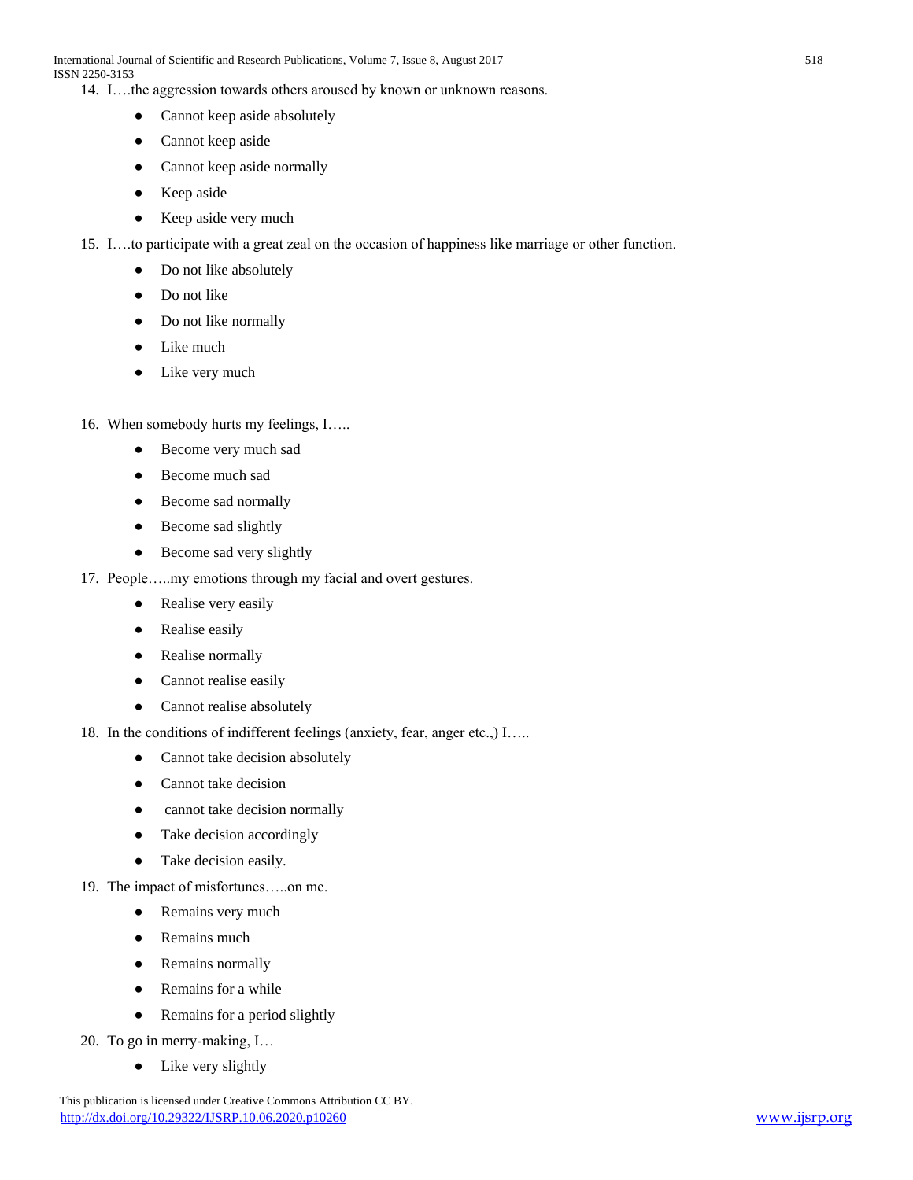14. I….the aggression towards others aroused by known or unknown reasons.

- Cannot keep aside absolutely
- Cannot keep aside
- Cannot keep aside normally
- Keep aside
- Keep aside very much
- 15. I….to participate with a great zeal on the occasion of happiness like marriage or other function.
	- Do not like absolutely
	- Do not like
	- Do not like normally
	- Like much
	- Like very much
- 16. When somebody hurts my feelings, I…..
	- Become very much sad
	- Become much sad
	- Become sad normally
	- Become sad slightly
	- Become sad very slightly
- 17. People…..my emotions through my facial and overt gestures.
	- Realise very easily
	- Realise easily
	- Realise normally
	- Cannot realise easily
	- Cannot realise absolutely
- 18. In the conditions of indifferent feelings (anxiety, fear, anger etc.,) I.....
	- Cannot take decision absolutely
	- Cannot take decision
	- cannot take decision normally
	- Take decision accordingly
	- Take decision easily.
- 19. The impact of misfortunes…..on me.
	- Remains very much
	- Remains much
	- Remains normally
	- Remains for a while
	- Remains for a period slightly
- 20. To go in merry-making, I…
	- Like very slightly

This publication is licensed under Creative Commons Attribution CC BY. <http://dx.doi.org/10.29322/IJSRP.10.06.2020.p10260> [www.ijsrp.org](http://ijsrp.org/)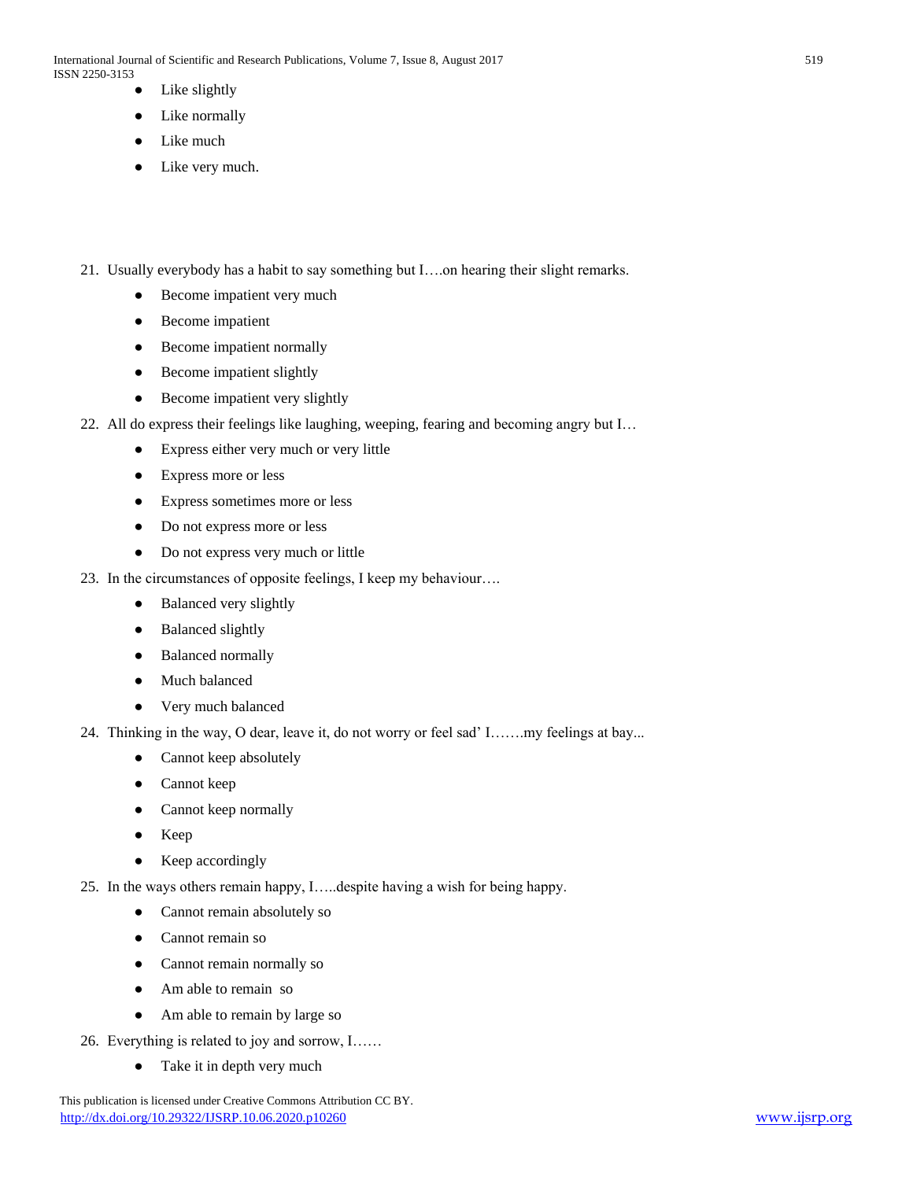International Journal of Scientific and Research Publications, Volume 7, Issue 8, August 2017 519 ISSN 2250-3153

- Like slightly
- Like normally
- Like much
- Like very much.
- 21. Usually everybody has a habit to say something but I….on hearing their slight remarks.
	- Become impatient very much
	- Become impatient
	- Become impatient normally
	- Become impatient slightly
	- Become impatient very slightly
- 22. All do express their feelings like laughing, weeping, fearing and becoming angry but I…
	- Express either very much or very little
	- Express more or less
	- Express sometimes more or less
	- Do not express more or less
	- Do not express very much or little
- 23. In the circumstances of opposite feelings, I keep my behaviour….
	- Balanced very slightly
	- **Balanced slightly**
	- Balanced normally
	- Much balanced
	- Very much balanced
- 24. Thinking in the way, O dear, leave it, do not worry or feel sad' I…….my feelings at bay...
	- Cannot keep absolutely
	- Cannot keep
	- Cannot keep normally
	- Keep
	- Keep accordingly
- 25. In the ways others remain happy, I…..despite having a wish for being happy.
	- Cannot remain absolutely so
	- Cannot remain so
	- Cannot remain normally so
	- Am able to remain so
	- Am able to remain by large so
- 26. Everything is related to joy and sorrow, I……
	- Take it in depth very much

This publication is licensed under Creative Commons Attribution CC BY. <http://dx.doi.org/10.29322/IJSRP.10.06.2020.p10260> [www.ijsrp.org](http://ijsrp.org/)